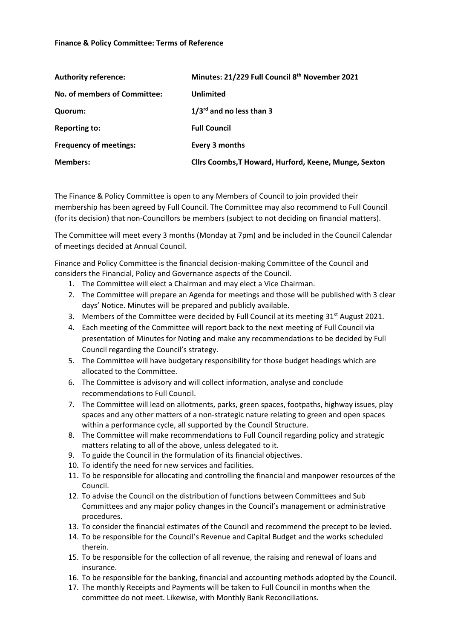## **Finance & Policy Committee: Terms of Reference**

| <b>Authority reference:</b>   | Minutes: 21/229 Full Council 8th November 2021        |
|-------------------------------|-------------------------------------------------------|
| No. of members of Committee:  | <b>Unlimited</b>                                      |
| Quorum:                       | $1/3^{rd}$ and no less than 3                         |
| <b>Reporting to:</b>          | <b>Full Council</b>                                   |
| <b>Frequency of meetings:</b> | Every 3 months                                        |
| <b>Members:</b>               | Cllrs Coombs, T Howard, Hurford, Keene, Munge, Sexton |

The Finance & Policy Committee is open to any Members of Council to join provided their membership has been agreed by Full Council. The Committee may also recommend to Full Council (for its decision) that non-Councillors be members (subject to not deciding on financial matters).

The Committee will meet every 3 months (Monday at 7pm) and be included in the Council Calendar of meetings decided at Annual Council.

Finance and Policy Committee is the financial decision-making Committee of the Council and considers the Financial, Policy and Governance aspects of the Council.

- 1. The Committee will elect a Chairman and may elect a Vice Chairman.
- 2. The Committee will prepare an Agenda for meetings and those will be published with 3 clear days' Notice. Minutes will be prepared and publicly available.
- 3. Members of the Committee were decided by Full Council at its meeting  $31<sup>st</sup>$  August 2021.
- 4. Each meeting of the Committee will report back to the next meeting of Full Council via presentation of Minutes for Noting and make any recommendations to be decided by Full Council regarding the Council's strategy.
- 5. The Committee will have budgetary responsibility for those budget headings which are allocated to the Committee.
- 6. The Committee is advisory and will collect information, analyse and conclude recommendations to Full Council.
- 7. The Committee will lead on allotments, parks, green spaces, footpaths, highway issues, play spaces and any other matters of a non-strategic nature relating to green and open spaces within a performance cycle, all supported by the Council Structure.
- 8. The Committee will make recommendations to Full Council regarding policy and strategic matters relating to all of the above, unless delegated to it.
- 9. To guide the Council in the formulation of its financial objectives.
- 10. To identify the need for new services and facilities.
- 11. To be responsible for allocating and controlling the financial and manpower resources of the Council.
- 12. To advise the Council on the distribution of functions between Committees and Sub Committees and any major policy changes in the Council's management or administrative procedures.
- 13. To consider the financial estimates of the Council and recommend the precept to be levied.
- 14. To be responsible for the Council's Revenue and Capital Budget and the works scheduled therein.
- 15. To be responsible for the collection of all revenue, the raising and renewal of loans and insurance.
- 16. To be responsible for the banking, financial and accounting methods adopted by the Council.
- 17. The monthly Receipts and Payments will be taken to Full Council in months when the committee do not meet. Likewise, with Monthly Bank Reconciliations.